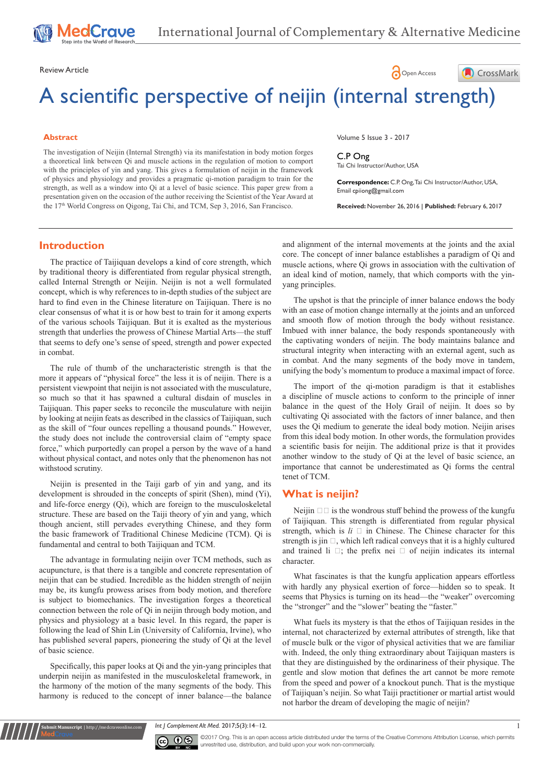Review Article **Contract Contract Contract Contract Contract Contract Contract Contract Contract Contract Contract Contract Contract Contract Contract Contract Contract Contract Contract Contract Contract Contract Contract** 

# A scientific perspective of neijin (internal strength)

#### **Abstract**

The investigation of Neijin (Internal Strength) via its manifestation in body motion forges a theoretical link between Qi and muscle actions in the regulation of motion to comport with the principles of yin and yang. This gives a formulation of neijin in the framework of physics and physiology and provides a pragmatic qi-motion paradigm to train for the strength, as well as a window into Qi at a level of basic science. This paper grew from a presentation given on the occasion of the author receiving the Scientist of the Year Award at the 17<sup>th</sup> World Congress on Qigong, Tai Chi, and TCM, Sep 3, 2016, San Francisco.

Volume 5 Issue 3 - 2017

C.P Ong Tai Chi Instructor/Author, USA

**Correspondence:** C.P. Ong, Tai Chi Instructor/Author, USA, Email cpiiong@gmail.com

CrossMark

**Received:** November 26, 2016 | **Published:** February 6, 2017

## **Introduction**

The practice of Taijiquan develops a kind of core strength, which by traditional theory is differentiated from regular physical strength, called Internal Strength or Neijin. Neijin is not a well formulated concept, which is why references to in-depth studies of the subject are hard to find even in the Chinese literature on Taijiquan. There is no clear consensus of what it is or how best to train for it among experts of the various schools Taijiquan. But it is exalted as the mysterious strength that underlies the prowess of Chinese Martial Arts—the stuff that seems to defy one's sense of speed, strength and power expected in combat.

The rule of thumb of the uncharacteristic strength is that the more it appears of "physical force" the less it is of neijin. There is a persistent viewpoint that neijin is not associated with the musculature, so much so that it has spawned a cultural disdain of muscles in Taijiquan. This paper seeks to reconcile the musculature with neijin by looking at neijin feats as described in the classics of Taijiquan, such as the skill of "four ounces repelling a thousand pounds." However, the study does not include the controversial claim of "empty space force," which purportedly can propel a person by the wave of a hand without physical contact, and notes only that the phenomenon has not withstood scrutiny.

Neijin is presented in the Taiji garb of yin and yang, and its development is shrouded in the concepts of spirit (Shen), mind (Yi), and life-force energy (Qi), which are foreign to the musculoskeletal structure. These are based on the Taiji theory of yin and yang, which though ancient, still pervades everything Chinese, and they form the basic framework of Traditional Chinese Medicine (TCM). Qi is fundamental and central to both Taijiquan and TCM.

The advantage in formulating neijin over TCM methods, such as acupuncture, is that there is a tangible and concrete representation of neijin that can be studied. Incredible as the hidden strength of neijin may be, its kungfu prowess arises from body motion, and therefore is subject to biomechanics. The investigation forges a theoretical connection between the role of Qi in neijin through body motion, and physics and physiology at a basic level. In this regard, the paper is following the lead of Shin Lin (University of California, Irvine), who has published several papers, pioneering the study of Qi at the level of basic science.

Specifically, this paper looks at Qi and the yin-yang principles that underpin neijin as manifested in the musculoskeletal framework, in the harmony of the motion of the many segments of the body. This harmony is reduced to the concept of inner balance—the balance

**it Manuscript** | http://medcraveonline.c

and alignment of the internal movements at the joints and the axial core. The concept of inner balance establishes a paradigm of Qi and muscle actions, where Qi grows in association with the cultivation of an ideal kind of motion, namely, that which comports with the yinyang principles.

The upshot is that the principle of inner balance endows the body with an ease of motion change internally at the joints and an unforced and smooth flow of motion through the body without resistance. Imbued with inner balance, the body responds spontaneously with the captivating wonders of neijin. The body maintains balance and structural integrity when interacting with an external agent, such as in combat. And the many segments of the body move in tandem, unifying the body's momentum to produce a maximal impact of force.

The import of the qi-motion paradigm is that it establishes a discipline of muscle actions to conform to the principle of inner balance in the quest of the Holy Grail of neijin. It does so by cultivating Qi associated with the factors of inner balance, and then uses the Qi medium to generate the ideal body motion. Neijin arises from this ideal body motion. In other words, the formulation provides a scientific basis for neijin. The additional prize is that it provides another window to the study of Qi at the level of basic science, an importance that cannot be underestimated as Qi forms the central tenet of TCM.

#### **What is neijin?**

Neijin  $\Box$  is the wondrous stuff behind the prowess of the kungfu of Taijiquan. This strength is differentiated from regular physical strength, which is  $li \Box$  in Chinese. The Chinese character for this strength is jin  $\square$ , which left radical conveys that it is a highly cultured and trained li  $\Box$ ; the prefix nei  $\Box$  of neijin indicates its internal character.

What fascinates is that the kungfu application appears effortless with hardly any physical exertion of force—hidden so to speak. It seems that Physics is turning on its head—the "weaker" overcoming the "stronger" and the "slower" beating the "faster."

What fuels its mystery is that the ethos of Taijiquan resides in the internal, not characterized by external attributes of strength, like that of muscle bulk or the vigor of physical activities that we are familiar with. Indeed, the only thing extraordinary about Taijiquan masters is that they are distinguished by the ordinariness of their physique. The gentle and slow motion that defines the art cannot be more remote from the speed and power of a knockout punch. That is the mystique of Taijiquan's neijin. So what Taiji practitioner or martial artist would not harbor the dream of developing the magic of neijin?

*Int J Complement Alt Med.* 2017;5(3):14‒12. 1



©2017 Ong. This is an open access article distributed under the terms of the Creative Commons Attribution License, which permits unrestrited use, distribution, and build upon your work non-commercially.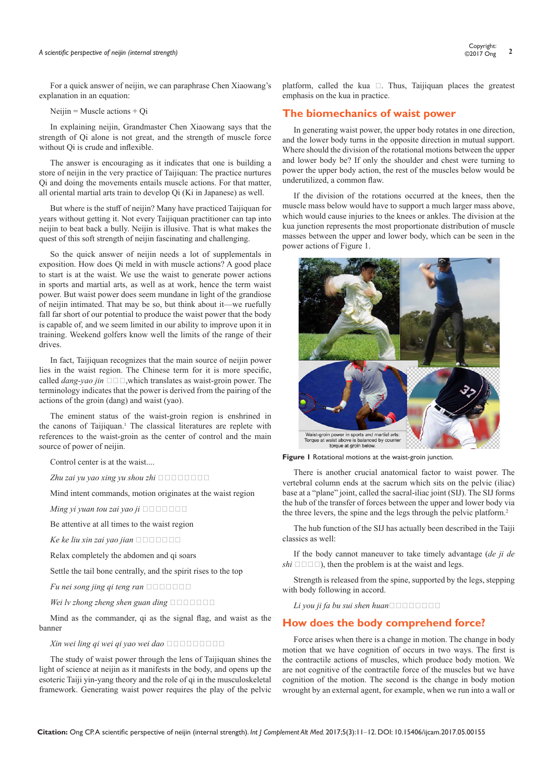For a quick answer of neijin, we can paraphrase Chen Xiaowang's explanation in an equation:

Neijin = Muscle actions + Qi

In explaining neijin, Grandmaster Chen Xiaowang says that the strength of Qi alone is not great, and the strength of muscle force without Qi is crude and inflexible.

The answer is encouraging as it indicates that one is building a store of neijin in the very practice of Taijiquan: The practice nurtures Qi and doing the movements entails muscle actions. For that matter, all oriental martial arts train to develop Qi (Ki in Japanese) as well.

But where is the stuff of neijin? Many have practiced Taijiquan for years without getting it. Not every Taijiquan practitioner can tap into neijin to beat back a bully. Neijin is illusive. That is what makes the quest of this soft strength of neijin fascinating and challenging.

So the quick answer of neijin needs a lot of supplementals in exposition. How does Qi meld in with muscle actions? A good place to start is at the waist. We use the waist to generate power actions in sports and martial arts, as well as at work, hence the term waist power. But waist power does seem mundane in light of the grandiose of neijin intimated. That may be so, but think about it—we ruefully fall far short of our potential to produce the waist power that the body is capable of, and we seem limited in our ability to improve upon it in training. Weekend golfers know well the limits of the range of their drives.

In fact, Taijiquan recognizes that the main source of neijin power lies in the waist region. The Chinese term for it is more specific, called  $\text{dang-yao}$  *jin*  $\square \square$ , which translates as waist-groin power. The terminology indicates that the power is derived from the pairing of the actions of the groin (dang) and waist (yao).

The eminent status of the waist-groin region is enshrined in the canons of Taijiquan.<sup>1</sup> The classical literatures are replete with references to the waist-groin as the center of control and the main source of power of neijin.

Control center is at the waist....

 $Z$ hu zai yu yao xing yu shou zhi

Mind intent commands, motion originates at the waist region

*Ming yi yuan tou zai yao ji*  $\Box$  $\Box$  $\Box$  $\Box$  $\Box$  $\Box$ 

Be attentive at all times to the waist region

 $Ke$  ke liu xin zai yao jian  $\square \square \square \square \square$ 

Relax completely the abdomen and qi soars

Settle the tail bone centrally, and the spirit rises to the top

*Fu nei song jing qi teng ran*  $\Box$  $\Box$  $\Box$  $\Box$  $\Box$  $\Box$ 

*Wei lv zhong zheng shen guan ding*  $\Box$ 

Mind as the commander, qi as the signal flag, and waist as the banner

 $X$ *in wei ling qi wei qi yao wei dao*  $\Box$ 

The study of waist power through the lens of Taijiquan shines the light of science at neijin as it manifests in the body, and opens up the esoteric Taiji yin-yang theory and the role of qi in the musculoskeletal framework. Generating waist power requires the play of the pelvic

platform, called the kua  $\Box$ . Thus, Taijiquan places the greatest emphasis on the kua in practice.

# **The biomechanics of waist power**

In generating waist power, the upper body rotates in one direction, and the lower body turns in the opposite direction in mutual support. Where should the division of the rotational motions between the upper and lower body be? If only the shoulder and chest were turning to power the upper body action, the rest of the muscles below would be underutilized, a common flaw.

If the division of the rotations occurred at the knees, then the muscle mass below would have to support a much larger mass above, which would cause injuries to the knees or ankles. The division at the kua junction represents the most proportionate distribution of muscle masses between the upper and lower body, which can be seen in the power actions of Figure 1.



**Figure 1** Rotational motions at the waist-groin junction.

There is another crucial anatomical factor to waist power. The vertebral column ends at the sacrum which sits on the pelvic (iliac) base at a "plane" joint, called the sacral-iliac joint (SIJ). The SIJ forms the hub of the transfer of forces between the upper and lower body via the three levers, the spine and the legs through the pelvic platform.<sup>2</sup>

The hub function of the SIJ has actually been described in the Taiji classics as well:

If the body cannot maneuver to take timely advantage (*de ji de*   $\mathit{shi} \ \Box \ \Box \ \Box$ ), then the problem is at the waist and legs.

Strength is released from the spine, supported by the legs, stepping with body following in accord.

*Li you ji fa bu sui shen huan* 

### **How does the body comprehend force?**

Force arises when there is a change in motion. The change in body motion that we have cognition of occurs in two ways. The first is the contractile actions of muscles, which produce body motion. We are not cognitive of the contractile force of the muscles but we have cognition of the motion. The second is the change in body motion wrought by an external agent, for example, when we run into a wall or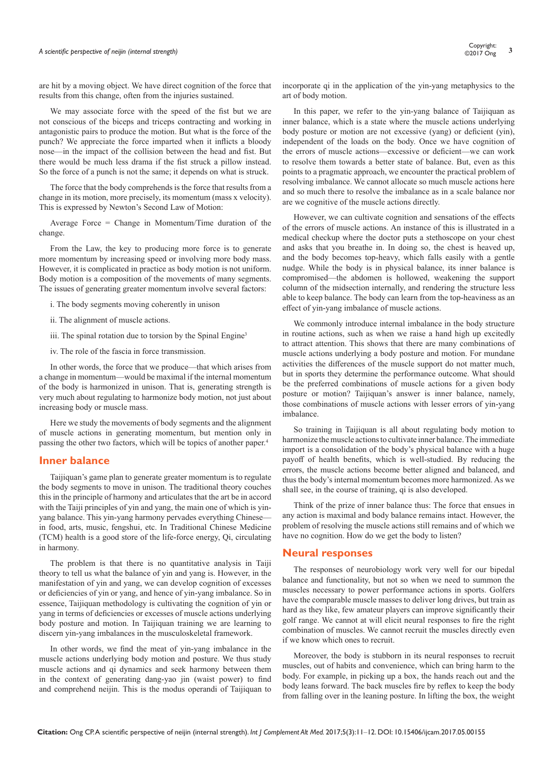# *A scientific perspective of neijin (internal strength)* **<sup>3</sup>** Copyright:

are hit by a moving object. We have direct cognition of the force that results from this change, often from the injuries sustained.

We may associate force with the speed of the fist but we are not conscious of the biceps and triceps contracting and working in antagonistic pairs to produce the motion. But what is the force of the punch? We appreciate the force imparted when it inflicts a bloody nose—in the impact of the collision between the head and fist. But there would be much less drama if the fist struck a pillow instead. So the force of a punch is not the same; it depends on what is struck.

The force that the body comprehends is the force that results from a change in its motion, more precisely, its momentum (mass x velocity). This is expressed by Newton's Second Law of Motion:

Average Force = Change in Momentum/Time duration of the change.

From the Law, the key to producing more force is to generate more momentum by increasing speed or involving more body mass. However, it is complicated in practice as body motion is not uniform. Body motion is a composition of the movements of many segments. The issues of generating greater momentum involve several factors:

i. The body segments moving coherently in unison

ii. The alignment of muscle actions.

iii. The spinal rotation due to torsion by the Spinal Engine<sup>3</sup>

iv. The role of the fascia in force transmission.

In other words, the force that we produce—that which arises from a change in momentum—would be maximal if the internal momentum of the body is harmonized in unison. That is, generating strength is very much about regulating to harmonize body motion, not just about increasing body or muscle mass.

Here we study the movements of body segments and the alignment of muscle actions in generating momentum, but mention only in passing the other two factors, which will be topics of another paper.4

#### **Inner balance**

Taijiquan's game plan to generate greater momentum is to regulate the body segments to move in unison. The traditional theory couches this in the principle of harmony and articulates that the art be in accord with the Taiji principles of yin and yang, the main one of which is yinyang balance. This yin-yang harmony pervades everything Chinese in food, arts, music, fengshui, etc. In Traditional Chinese Medicine (TCM) health is a good store of the life-force energy, Qi, circulating in harmony.

The problem is that there is no quantitative analysis in Taiji theory to tell us what the balance of yin and yang is. However, in the manifestation of yin and yang, we can develop cognition of excesses or deficiencies of yin or yang, and hence of yin-yang imbalance. So in essence, Taijiquan methodology is cultivating the cognition of yin or yang in terms of deficiencies or excesses of muscle actions underlying body posture and motion. In Taijiquan training we are learning to discern yin-yang imbalances in the musculoskeletal framework.

In other words, we find the meat of yin-yang imbalance in the muscle actions underlying body motion and posture. We thus study muscle actions and qi dynamics and seek harmony between them in the context of generating dang-yao jin (waist power) to find and comprehend neijin. This is the modus operandi of Taijiquan to

incorporate qi in the application of the yin-yang metaphysics to the art of body motion.

In this paper, we refer to the yin-yang balance of Taijiquan as inner balance, which is a state where the muscle actions underlying body posture or motion are not excessive (yang) or deficient (yin), independent of the loads on the body. Once we have cognition of the errors of muscle actions—excessive or deficient—we can work to resolve them towards a better state of balance. But, even as this points to a pragmatic approach, we encounter the practical problem of resolving imbalance. We cannot allocate so much muscle actions here and so much there to resolve the imbalance as in a scale balance nor are we cognitive of the muscle actions directly.

However, we can cultivate cognition and sensations of the effects of the errors of muscle actions. An instance of this is illustrated in a medical checkup where the doctor puts a stethoscope on your chest and asks that you breathe in. In doing so, the chest is heaved up, and the body becomes top-heavy, which falls easily with a gentle nudge. While the body is in physical balance, its inner balance is compromised—the abdomen is hollowed, weakening the support column of the midsection internally, and rendering the structure less able to keep balance. The body can learn from the top-heaviness as an effect of yin-yang imbalance of muscle actions.

We commonly introduce internal imbalance in the body structure in routine actions, such as when we raise a hand high up excitedly to attract attention. This shows that there are many combinations of muscle actions underlying a body posture and motion. For mundane activities the differences of the muscle support do not matter much, but in sports they determine the performance outcome. What should be the preferred combinations of muscle actions for a given body posture or motion? Taijiquan's answer is inner balance, namely, those combinations of muscle actions with lesser errors of yin-yang imbalance.

So training in Taijiquan is all about regulating body motion to harmonize the muscle actions to cultivate inner balance. The immediate import is a consolidation of the body's physical balance with a huge payoff of health benefits, which is well-studied. By reducing the errors, the muscle actions become better aligned and balanced, and thus the body's internal momentum becomes more harmonized. As we shall see, in the course of training, qi is also developed.

Think of the prize of inner balance thus: The force that ensues in any action is maximal and body balance remains intact. However, the problem of resolving the muscle actions still remains and of which we have no cognition. How do we get the body to listen?

#### **Neural responses**

The responses of neurobiology work very well for our bipedal balance and functionality, but not so when we need to summon the muscles necessary to power performance actions in sports. Golfers have the comparable muscle masses to deliver long drives, but train as hard as they like, few amateur players can improve significantly their golf range. We cannot at will elicit neural responses to fire the right combination of muscles. We cannot recruit the muscles directly even if we know which ones to recruit.

Moreover, the body is stubborn in its neural responses to recruit muscles, out of habits and convenience, which can bring harm to the body. For example, in picking up a box, the hands reach out and the body leans forward. The back muscles fire by reflex to keep the body from falling over in the leaning posture. In lifting the box, the weight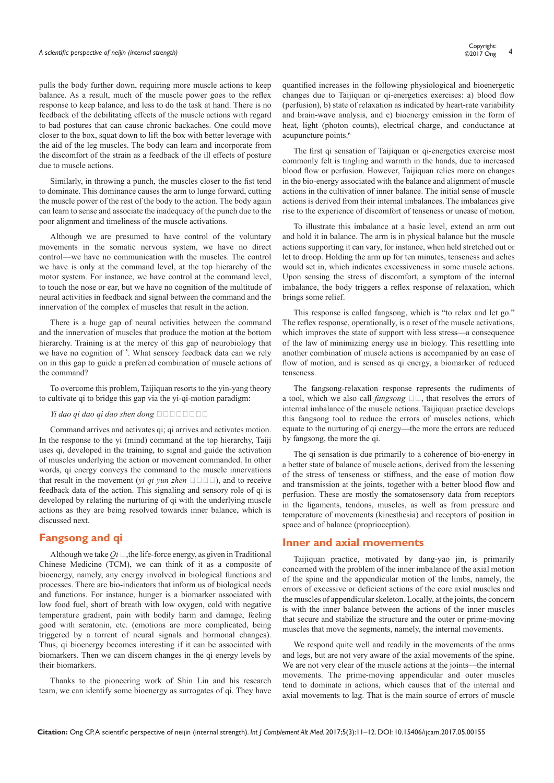pulls the body further down, requiring more muscle actions to keep balance. As a result, much of the muscle power goes to the reflex response to keep balance, and less to do the task at hand. There is no feedback of the debilitating effects of the muscle actions with regard to bad postures that can cause chronic backaches. One could move closer to the box, squat down to lift the box with better leverage with the aid of the leg muscles. The body can learn and incorporate from the discomfort of the strain as a feedback of the ill effects of posture due to muscle actions.

Similarly, in throwing a punch, the muscles closer to the fist tend to dominate. This dominance causes the arm to lunge forward, cutting the muscle power of the rest of the body to the action. The body again can learn to sense and associate the inadequacy of the punch due to the poor alignment and timeliness of the muscle activations.

Although we are presumed to have control of the voluntary movements in the somatic nervous system, we have no direct control—we have no communication with the muscles. The control we have is only at the command level, at the top hierarchy of the motor system. For instance, we have control at the command level, to touch the nose or ear, but we have no cognition of the multitude of neural activities in feedback and signal between the command and the innervation of the complex of muscles that result in the action.

There is a huge gap of neural activities between the command and the innervation of muscles that produce the motion at the bottom hierarchy. Training is at the mercy of this gap of neurobiology that we have no cognition of <sup>5</sup>. What sensory feedback data can we rely on in this gap to guide a preferred combination of muscle actions of the command?

To overcome this problem, Taijiquan resorts to the yin-yang theory to cultivate qi to bridge this gap via the yi-qi-motion paradigm:

#### $Y_i$  dao qi dao ahen dong

Command arrives and activates qi; qi arrives and activates motion. In the response to the yi (mind) command at the top hierarchy, Taiji uses qi, developed in the training, to signal and guide the activation of muscles underlying the action or movement commanded. In other words, qi energy conveys the command to the muscle innervations that result in the movement (*yi qi yun zhen*  $\square \square \square$ ), and to receive feedback data of the action. This signaling and sensory role of qi is developed by relating the nurturing of qi with the underlying muscle actions as they are being resolved towards inner balance, which is discussed next.

## **Fangsong and qi**

Although we take  $Q_i \square$ , the life-force energy, as given in Traditional Chinese Medicine (TCM), we can think of it as a composite of bioenergy, namely, any energy involved in biological functions and processes. There are bio-indicators that inform us of biological needs and functions. For instance, hunger is a biomarker associated with low food fuel, short of breath with low oxygen, cold with negative temperature gradient, pain with bodily harm and damage, feeling good with seratonin, etc. (emotions are more complicated, being triggered by a torrent of neural signals and hormonal changes). Thus, qi bioenergy becomes interesting if it can be associated with biomarkers. Then we can discern changes in the qi energy levels by their biomarkers.

Thanks to the pioneering work of Shin Lin and his research team, we can identify some bioenergy as surrogates of qi. They have quantified increases in the following physiological and bioenergetic changes due to Taijiquan or qi-energetics exercises: a) blood flow (perfusion), b) state of relaxation as indicated by heart-rate variability and brain-wave analysis, and c) bioenergy emission in the form of heat, light (photon counts), electrical charge, and conductance at acupuncture points.<sup>6</sup>

The first qi sensation of Taijiquan or qi-energetics exercise most commonly felt is tingling and warmth in the hands, due to increased blood flow or perfusion. However, Taijiquan relies more on changes in the bio-energy associated with the balance and alignment of muscle actions in the cultivation of inner balance. The initial sense of muscle actions is derived from their internal imbalances. The imbalances give rise to the experience of discomfort of tenseness or unease of motion.

To illustrate this imbalance at a basic level, extend an arm out and hold it in balance. The arm is in physical balance but the muscle actions supporting it can vary, for instance, when held stretched out or let to droop. Holding the arm up for ten minutes, tenseness and aches would set in, which indicates excessiveness in some muscle actions. Upon sensing the stress of discomfort, a symptom of the internal imbalance, the body triggers a reflex response of relaxation, which brings some relief.

This response is called fangsong, which is "to relax and let go." The reflex response, operationally, is a reset of the muscle activations, which improves the state of support with less stress—a consequence of the law of minimizing energy use in biology. This resettling into another combination of muscle actions is accompanied by an ease of flow of motion, and is sensed as qi energy, a biomarker of reduced tenseness.

The fangsong-relaxation response represents the rudiments of a tool, which we also call *fangsong*  $\Box \Box$ , that resolves the errors of internal imbalance of the muscle actions. Taijiquan practice develops this fangsong tool to reduce the errors of muscles actions, which equate to the nurturing of qi energy—the more the errors are reduced by fangsong, the more the qi.

The qi sensation is due primarily to a coherence of bio-energy in a better state of balance of muscle actions, derived from the lessening of the stress of tenseness or stiffness, and the ease of motion flow and transmission at the joints, together with a better blood flow and perfusion. These are mostly the somatosensory data from receptors in the ligaments, tendons, muscles, as well as from pressure and temperature of movements (kinesthesia) and receptors of position in space and of balance (proprioception).

#### **Inner and axial movements**

Taijiquan practice, motivated by dang-yao jin, is primarily concerned with the problem of the inner imbalance of the axial motion of the spine and the appendicular motion of the limbs, namely, the errors of excessive or deficient actions of the core axial muscles and the muscles of appendicular skeleton. Locally, at the joints, the concern is with the inner balance between the actions of the inner muscles that secure and stabilize the structure and the outer or prime-moving muscles that move the segments, namely, the internal movements.

We respond quite well and readily in the movements of the arms and legs, but are not very aware of the axial movements of the spine. We are not very clear of the muscle actions at the joints—the internal movements. The prime-moving appendicular and outer muscles tend to dominate in actions, which causes that of the internal and axial movements to lag. That is the main source of errors of muscle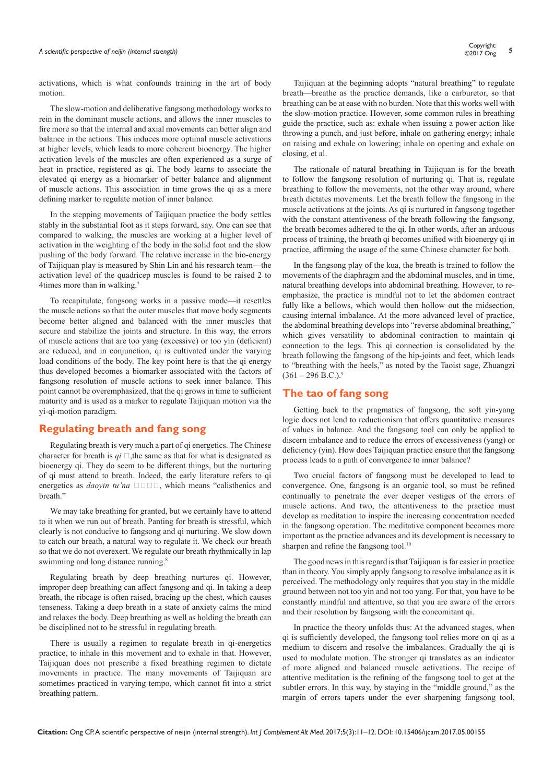activations, which is what confounds training in the art of body motion.

The slow-motion and deliberative fangsong methodology works to rein in the dominant muscle actions, and allows the inner muscles to fire more so that the internal and axial movements can better align and balance in the actions. This induces more optimal muscle activations at higher levels, which leads to more coherent bioenergy. The higher activation levels of the muscles are often experienced as a surge of heat in practice, registered as qi. The body learns to associate the elevated qi energy as a biomarker of better balance and alignment of muscle actions. This association in time grows the qi as a more defining marker to regulate motion of inner balance.

In the stepping movements of Taijiquan practice the body settles stably in the substantial foot as it steps forward, say. One can see that compared to walking, the muscles are working at a higher level of activation in the weighting of the body in the solid foot and the slow pushing of the body forward. The relative increase in the bio-energy of Taijiquan play is measured by Shin Lin and his research team—the activation level of the quadricep muscles is found to be raised 2 to 4times more than in walking.<sup>7</sup>

To recapitulate, fangsong works in a passive mode—it resettles the muscle actions so that the outer muscles that move body segments become better aligned and balanced with the inner muscles that secure and stabilize the joints and structure. In this way, the errors of muscle actions that are too yang (excessive) or too yin (deficient) are reduced, and in conjunction, qi is cultivated under the varying load conditions of the body. The key point here is that the qi energy thus developed becomes a biomarker associated with the factors of fangsong resolution of muscle actions to seek inner balance. This point cannot be overemphasized, that the qi grows in time to sufficient maturity and is used as a marker to regulate Taijiquan motion via the yi-qi-motion paradigm.

#### **Regulating breath and fang song**

Regulating breath is very much a part of qi energetics. The Chinese character for breath is  $qi \square$ , the same as that for what is designated as bioenergy qi. They do seem to be different things, but the nurturing of qi must attend to breath. Indeed, the early literature refers to qi energetics as *daoyin tu'na*  $\square \square \square$ , which means "calisthenics and breath."

We may take breathing for granted, but we certainly have to attend to it when we run out of breath. Panting for breath is stressful, which clearly is not conducive to fangsong and qi nurturing. We slow down to catch our breath, a natural way to regulate it. We check our breath so that we do not overexert. We regulate our breath rhythmically in lap swimming and long distance running.<sup>8</sup>

Regulating breath by deep breathing nurtures qi. However, improper deep breathing can affect fangsong and qi. In taking a deep breath, the ribcage is often raised, bracing up the chest, which causes tenseness. Taking a deep breath in a state of anxiety calms the mind and relaxes the body. Deep breathing as well as holding the breath can be disciplined not to be stressful in regulating breath.

There is usually a regimen to regulate breath in qi-energetics practice, to inhale in this movement and to exhale in that. However, Taijiquan does not prescribe a fixed breathing regimen to dictate movements in practice. The many movements of Taijiquan are sometimes practiced in varying tempo, which cannot fit into a strict breathing pattern.

Taijiquan at the beginning adopts "natural breathing" to regulate breath—breathe as the practice demands, like a carburetor, so that breathing can be at ease with no burden. Note that this works well with the slow-motion practice. However, some common rules in breathing guide the practice, such as: exhale when issuing a power action like throwing a punch, and just before, inhale on gathering energy; inhale on raising and exhale on lowering; inhale on opening and exhale on closing, et al.

The rationale of natural breathing in Taijiquan is for the breath to follow the fangsong resolution of nurturing qi. That is, regulate breathing to follow the movements, not the other way around, where breath dictates movements. Let the breath follow the fangsong in the muscle activations at the joints. As qi is nurtured in fangsong together with the constant attentiveness of the breath following the fangsong, the breath becomes adhered to the qi. In other words, after an arduous process of training, the breath qi becomes unified with bioenergy qi in practice, affirming the usage of the same Chinese character for both.

In the fangsong play of the kua, the breath is trained to follow the movements of the diaphragm and the abdominal muscles, and in time, natural breathing develops into abdominal breathing. However, to reemphasize, the practice is mindful not to let the abdomen contract fully like a bellows, which would then hollow out the midsection, causing internal imbalance. At the more advanced level of practice, the abdominal breathing develops into "reverse abdominal breathing," which gives versatility to abdominal contraction to maintain qi connection to the legs. This qi connection is consolidated by the breath following the fangsong of the hip-joints and feet, which leads to "breathing with the heels," as noted by the Taoist sage, Zhuangzi  $(361 - 296$  B.C.).<sup>9</sup>

### **The tao of fang song**

Getting back to the pragmatics of fangsong, the soft yin-yang logic does not lend to reductionism that offers quantitative measures of values in balance. And the fangsong tool can only be applied to discern imbalance and to reduce the errors of excessiveness (yang) or deficiency (yin). How does Taijiquan practice ensure that the fangsong process leads to a path of convergence to inner balance?

Two crucial factors of fangsong must be developed to lead to convergence. One, fangsong is an organic tool, so must be refined continually to penetrate the ever deeper vestiges of the errors of muscle actions. And two, the attentiveness to the practice must develop as meditation to inspire the increasing concentration needed in the fangsong operation. The meditative component becomes more important as the practice advances and its development is necessary to sharpen and refine the fangsong tool.<sup>10</sup>

The good news in this regard is that Taijiquan is far easier in practice than in theory. You simply apply fangsong to resolve imbalance as it is perceived. The methodology only requires that you stay in the middle ground between not too yin and not too yang. For that, you have to be constantly mindful and attentive, so that you are aware of the errors and their resolution by fangsong with the concomitant qi.

In practice the theory unfolds thus: At the advanced stages, when qi is sufficiently developed, the fangsong tool relies more on qi as a medium to discern and resolve the imbalances. Gradually the qi is used to modulate motion. The stronger qi translates as an indicator of more aligned and balanced muscle activations. The recipe of attentive meditation is the refining of the fangsong tool to get at the subtler errors. In this way, by staying in the "middle ground," as the margin of errors tapers under the ever sharpening fangsong tool,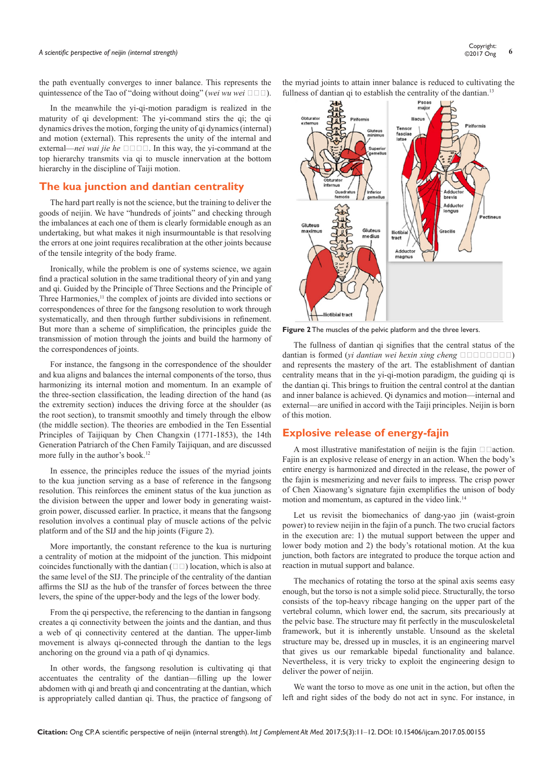# *A scientific perspective of neijin (internal strength)* **<sup>6</sup>** Copyright:

the path eventually converges to inner balance. This represents the quintessence of the Tao of "doing without doing" (*wei wu wei*  $\Box \Box \Box$ ).

In the meanwhile the yi-qi-motion paradigm is realized in the maturity of qi development: The yi-command stirs the qi; the qi dynamics drives the motion, forging the unity of qi dynamics (internal) and motion (external). This represents the unity of the internal and external—*nei wai jie he*  $\square \square \square$ . In this way, the yi-command at the top hierarchy transmits via qi to muscle innervation at the bottom hierarchy in the discipline of Taiji motion.

## **The kua junction and dantian centrality**

The hard part really is not the science, but the training to deliver the goods of neijin. We have "hundreds of joints" and checking through the imbalances at each one of them is clearly formidable enough as an undertaking, but what makes it nigh insurmountable is that resolving the errors at one joint requires recalibration at the other joints because of the tensile integrity of the body frame.

Ironically, while the problem is one of systems science, we again find a practical solution in the same traditional theory of yin and yang and qi. Guided by the Principle of Three Sections and the Principle of Three Harmonies,<sup>11</sup> the complex of joints are divided into sections or correspondences of three for the fangsong resolution to work through systematically, and then through further subdivisions in refinement. But more than a scheme of simplification, the principles guide the transmission of motion through the joints and build the harmony of the correspondences of joints.

For instance, the fangsong in the correspondence of the shoulder and kua aligns and balances the internal components of the torso, thus harmonizing its internal motion and momentum. In an example of the three-section classification, the leading direction of the hand (as the extremity section) induces the driving force at the shoulder (as the root section), to transmit smoothly and timely through the elbow (the middle section). The theories are embodied in the Ten Essential Principles of Taijiquan by Chen Changxin (1771-1853), the 14th Generation Patriarch of the Chen Family Taijiquan, and are discussed more fully in the author's book.12

In essence, the principles reduce the issues of the myriad joints to the kua junction serving as a base of reference in the fangsong resolution. This reinforces the eminent status of the kua junction as the division between the upper and lower body in generating waistgroin power, discussed earlier. In practice, it means that the fangsong resolution involves a continual play of muscle actions of the pelvic platform and of the SIJ and the hip joints (Figure 2).

More importantly, the constant reference to the kua is nurturing a centrality of motion at the midpoint of the junction. This midpoint coincides functionally with the dantian  $(III)$  location, which is also at the same level of the SIJ. The principle of the centrality of the dantian affirms the SIJ as the hub of the transfer of forces between the three levers, the spine of the upper-body and the legs of the lower body.

From the qi perspective, the referencing to the dantian in fangsong creates a qi connectivity between the joints and the dantian, and thus a web of qi connectivity centered at the dantian. The upper-limb movement is always qi-connected through the dantian to the legs anchoring on the ground via a path of qi dynamics.

In other words, the fangsong resolution is cultivating qi that accentuates the centrality of the dantian—filling up the lower abdomen with qi and breath qi and concentrating at the dantian, which is appropriately called dantian qi. Thus, the practice of fangsong of the myriad joints to attain inner balance is reduced to cultivating the fullness of dantian qi to establish the centrality of the dantian.<sup>13</sup>



**Figure 2** The muscles of the pelvic platform and the three levers.

The fullness of dantian qi signifies that the central status of the dantian is formed (*yi dantian wei hexin xing cheng*  $\Box$  $\Box$  $\Box$  $\Box$  $\Box$ ) and represents the mastery of the art. The establishment of dantian centrality means that in the yi-qi-motion paradigm, the guiding qi is the dantian qi. This brings to fruition the central control at the dantian and inner balance is achieved. Qi dynamics and motion—internal and external—are unified in accord with the Taiji principles. Neijin is born of this motion.

# **Explosive release of energy-fajin**

A most illustrative manifestation of neijin is the fajin  $\Box$   $\Box$  action. Fajin is an explosive release of energy in an action. When the body's entire energy is harmonized and directed in the release, the power of the fajin is mesmerizing and never fails to impress. The crisp power of Chen Xiaowang's signature fajin exemplifies the unison of body motion and momentum, as captured in the video link.<sup>14</sup>

Let us revisit the biomechanics of dang-yao jin (waist-groin power) to review neijin in the fajin of a punch. The two crucial factors in the execution are: 1) the mutual support between the upper and lower body motion and 2) the body's rotational motion. At the kua junction, both factors are integrated to produce the torque action and reaction in mutual support and balance.

The mechanics of rotating the torso at the spinal axis seems easy enough, but the torso is not a simple solid piece. Structurally, the torso consists of the top-heavy ribcage hanging on the upper part of the vertebral column, which lower end, the sacrum, sits precariously at the pelvic base. The structure may fit perfectly in the musculoskeletal framework, but it is inherently unstable. Unsound as the skeletal structure may be, dressed up in muscles, it is an engineering marvel that gives us our remarkable bipedal functionality and balance. Nevertheless, it is very tricky to exploit the engineering design to deliver the power of neijin.

We want the torso to move as one unit in the action, but often the left and right sides of the body do not act in sync. For instance, in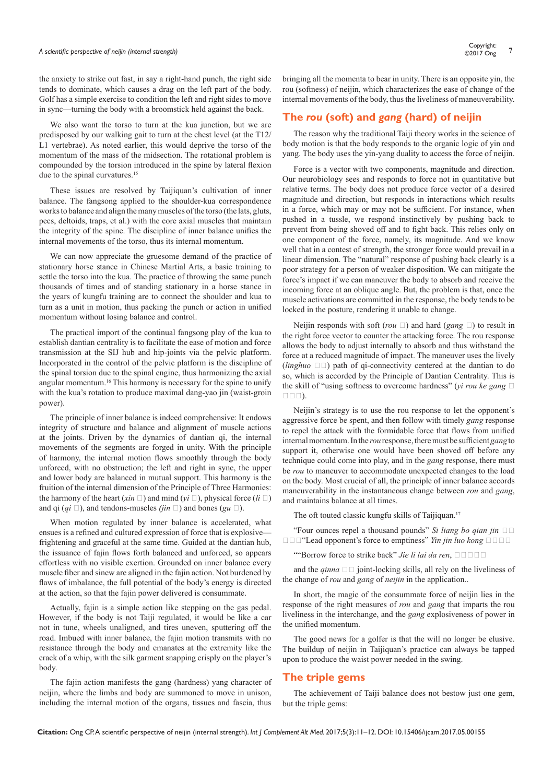# *A scientific perspective of neijin (internal strength)* **<sup>7</sup>** Copyright:

the anxiety to strike out fast, in say a right-hand punch, the right side tends to dominate, which causes a drag on the left part of the body. Golf has a simple exercise to condition the left and right sides to move in sync—turning the body with a broomstick held against the back.

We also want the torso to turn at the kua junction, but we are predisposed by our walking gait to turn at the chest level (at the T12/ L1 vertebrae). As noted earlier, this would deprive the torso of the momentum of the mass of the midsection. The rotational problem is compounded by the torsion introduced in the spine by lateral flexion due to the spinal curvatures.<sup>15</sup>

These issues are resolved by Taijiquan's cultivation of inner balance. The fangsong applied to the shoulder-kua correspondence works to balance and align the many muscles of the torso (the lats, gluts, pecs, deltoids, traps, et al.) with the core axial muscles that maintain the integrity of the spine. The discipline of inner balance unifies the internal movements of the torso, thus its internal momentum.

We can now appreciate the gruesome demand of the practice of stationary horse stance in Chinese Martial Arts, a basic training to settle the torso into the kua. The practice of throwing the same punch thousands of times and of standing stationary in a horse stance in the years of kungfu training are to connect the shoulder and kua to turn as a unit in motion, thus packing the punch or action in unified momentum without losing balance and control.

The practical import of the continual fangsong play of the kua to establish dantian centrality is to facilitate the ease of motion and force transmission at the SIJ hub and hip-joints via the pelvic platform. Incorporated in the control of the pelvic platform is the discipline of the spinal torsion due to the spinal engine, thus harmonizing the axial angular momentum.16 This harmony is necessary for the spine to unify with the kua's rotation to produce maximal dang-yao jin (waist-groin power).

The principle of inner balance is indeed comprehensive: It endows integrity of structure and balance and alignment of muscle actions at the joints. Driven by the dynamics of dantian qi, the internal movements of the segments are forged in unity. With the principle of harmony, the internal motion flows smoothly through the body unforced, with no obstruction; the left and right in sync, the upper and lower body are balanced in mutual support. This harmony is the fruition of the internal dimension of the Principle of Three Harmonies: the harmony of the heart (*xin*  $\square$ ) and mind (*yi*  $\square$ ), physical force (*li*  $\square$ ) and qi  $(qi \Box)$ , and tendons-muscles *(jin*  $\Box$ ) and bones (*gu*  $\Box$ ).

When motion regulated by inner balance is accelerated, what ensues is a refined and cultured expression of force that is explosive frightening and graceful at the same time. Guided at the dantian hub, the issuance of fajin flows forth balanced and unforced, so appears effortless with no visible exertion. Grounded on inner balance every muscle fiber and sinew are aligned in the fajin action. Not burdened by flaws of imbalance, the full potential of the body's energy is directed at the action, so that the fajin power delivered is consummate.

Actually, fajin is a simple action like stepping on the gas pedal. However, if the body is not Taiji regulated, it would be like a car not in tune, wheels unaligned, and tires uneven, sputtering off the road. Imbued with inner balance, the fajin motion transmits with no resistance through the body and emanates at the extremity like the crack of a whip, with the silk garment snapping crisply on the player's body.

The fajin action manifests the gang (hardness) yang character of neijin, where the limbs and body are summoned to move in unison, including the internal motion of the organs, tissues and fascia, thus

bringing all the momenta to bear in unity. There is an opposite yin, the rou (softness) of neijin, which characterizes the ease of change of the internal movements of the body, thus the liveliness of maneuverability.

# **The** *rou* **(soft) and** *gang* **(hard) of neijin**

The reason why the traditional Taiji theory works in the science of body motion is that the body responds to the organic logic of yin and yang. The body uses the yin-yang duality to access the force of neijin.

Force is a vector with two components, magnitude and direction. Our neurobiology sees and responds to force not in quantitative but relative terms. The body does not produce force vector of a desired magnitude and direction, but responds in interactions which results in a force, which may or may not be sufficient. For instance, when pushed in a tussle, we respond instinctively by pushing back to prevent from being shoved off and to fight back. This relies only on one component of the force, namely, its magnitude. And we know well that in a contest of strength, the stronger force would prevail in a linear dimension. The "natural" response of pushing back clearly is a poor strategy for a person of weaker disposition. We can mitigate the force's impact if we can maneuver the body to absorb and receive the incoming force at an oblique angle. But, the problem is that, once the muscle activations are committed in the response, the body tends to be locked in the posture, rendering it unable to change.

Neijin responds with soft (*rou*  $\Box$ ) and hard (*gang*  $\Box$ ) to result in the right force vector to counter the attacking force. The rou response allows the body to adjust internally to absorb and thus withstand the force at a reduced magnitude of impact. The maneuver uses the lively (*linghuo*  $\Box$ ) path of qi-connectivity centered at the dantian to do so, which is accorded by the Principle of Dantian Centrality. This is the skill of "using softness to overcome hardness" (*yi rou ke gang*  $\Box$  $\square \square \square$ ).

Neijin's strategy is to use the rou response to let the opponent's aggressive force be spent, and then follow with timely *gang* response to repel the attack with the formidable force that flows from unified internal momentum. In the *rou*response, there must be sufficient *gang*to support it, otherwise one would have been shoved off before any technique could come into play, and in the *gang* response, there must be *rou* to maneuver to accommodate unexpected changes to the load on the body. Most crucial of all, the principle of inner balance accords maneuverability in the instantaneous change between *rou* and *gang*, and maintains balance at all times.

The oft touted classic kungfu skills of Taijiquan.<sup>17</sup>

"Four ounces repel a thousand pounds" *Si liang bo qian jin* 四两  $\Box$   $\Box$  <sup>"</sup>Lead opponent's force to emptiness" *Yin jin luo kong*  $\Box$   $\Box$   $\Box$ 

""Borrow force to strike back" *Jie li lai da ren*, **EDDE** 

and the *qinna*  $\Box$  joint-locking skills, all rely on the liveliness of the change of *rou* and *gang* of *neijin* in the application..

In short, the magic of the consummate force of neijin lies in the response of the right measures of *rou* and *gang* that imparts the rou liveliness in the interchange, and the *gang* explosiveness of power in the unified momentum.

The good news for a golfer is that the will no longer be elusive. The buildup of neijin in Taijiquan's practice can always be tapped upon to produce the waist power needed in the swing.

#### **The triple gems**

The achievement of Taiji balance does not bestow just one gem, but the triple gems: